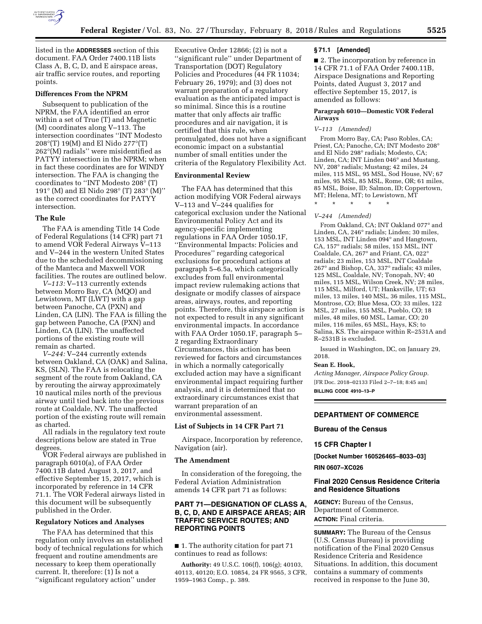

listed in the **ADDRESSES** section of this document. FAA Order 7400.11B lists Class A, B, C, D, and E airspace areas, air traffic service routes, and reporting points.

## **Differences From the NPRM**

Subsequent to publication of the NPRM, the FAA identified an error within a set of True (T) and Magnetic (M) coordinates along V–113. The intersection coordinates ''INT Modesto 208°(T) 19(M) and El Nido 277°(T) 262°(M) radials'' were misidentified as PATYY intersection in the NPRM; when in fact these coordinates are for WINDY intersection. The FAA is changing the coordinates to ''INT Modesto 208° (T) 191° (M) and El Nido 298° (T) 283° (M)'' as the correct coordinates for PATYY intersection.

#### **The Rule**

The FAA is amending Title 14 Code of Federal Regulations (14 CFR) part 71 to amend VOR Federal Airways V–113 and V–244 in the western United States due to the scheduled decommissioning of the Manteca and Maxwell VOR facilities. The routes are outlined below.

*V–113:* V–113 currently extends between Morro Bay, CA (MQO) and Lewistown, MT (LWT) with a gap between Panoche, CA (PXN) and Linden, CA (LIN). The FAA is filling the gap between Panoche, CA (PXN) and Linden, CA (LIN). The unaffected portions of the existing route will remain as charted.

*V–244:* V–244 currently extends between Oakland, CA (OAK) and Salina, KS, (SLN). The FAA is relocating the segment of the route from Oakland, CA by rerouting the airway approximately 10 nautical miles north of the previous airway until tied back into the previous route at Coaldale, NV. The unaffected portion of the existing route will remain as charted.

All radials in the regulatory text route descriptions below are stated in True degrees.

VOR Federal airways are published in paragraph 6010(a), of FAA Order 7400.11B dated August 3, 2017, and effective September 15, 2017, which is incorporated by reference in 14 CFR 71.1. The VOR Federal airways listed in this document will be subsequently published in the Order.

#### **Regulatory Notices and Analyses**

The FAA has determined that this regulation only involves an established body of technical regulations for which frequent and routine amendments are necessary to keep them operationally current. It, therefore: (1) Is not a ''significant regulatory action'' under

Executive Order 12866; (2) is not a ''significant rule'' under Department of Transportation (DOT) Regulatory Policies and Procedures (44 FR 11034; February 26, 1979); and (3) does not warrant preparation of a regulatory evaluation as the anticipated impact is so minimal. Since this is a routine matter that only affects air traffic procedures and air navigation, it is certified that this rule, when promulgated, does not have a significant economic impact on a substantial number of small entities under the criteria of the Regulatory Flexibility Act.

## **Environmental Review**

The FAA has determined that this action modifying VOR Federal airways V–113 and V–244 qualifies for categorical exclusion under the National Environmental Policy Act and its agency-specific implementing regulations in FAA Order 1050.1F, ''Environmental Impacts: Policies and Procedures'' regarding categorical exclusions for procedural actions at paragraph 5–6.5a, which categorically excludes from full environmental impact review rulemaking actions that designate or modify classes of airspace areas, airways, routes, and reporting points. Therefore, this airspace action is not expected to result in any significant environmental impacts. In accordance with FAA Order 1050.1F, paragraph 5– 2 regarding Extraordinary Circumstances, this action has been reviewed for factors and circumstances in which a normally categorically excluded action may have a significant environmental impact requiring further analysis, and it is determined that no extraordinary circumstances exist that warrant preparation of an environmental assessment.

#### **List of Subjects in 14 CFR Part 71**

Airspace, Incorporation by reference, Navigation (air).

#### **The Amendment**

In consideration of the foregoing, the Federal Aviation Administration amends 14 CFR part 71 as follows:

## **PART 71—DESIGNATION OF CLASS A, B, C, D, AND E AIRSPACE AREAS; AIR TRAFFIC SERVICE ROUTES; AND REPORTING POINTS**

■ 1. The authority citation for part 71 continues to read as follows:

**Authority:** 49 U.S.C. 106(f), 106(g); 40103, 40113, 40120; E.O. 10854, 24 FR 9565, 3 CFR, 1959–1963 Comp., p. 389.

#### **§ 71.1 [Amended]**

■ 2. The incorporation by reference in 14 CFR 71.1 of FAA Order 7400.11B, Airspace Designations and Reporting Points, dated August 3, 2017 and effective September 15, 2017, is amended as follows:

#### **Paragraph 6010—Domestic VOR Federal Airways**

#### *V–113 (Amended)*

From Morro Bay, CA; Paso Robles, CA; Priest, CA; Panoche, CA; INT Modesto 208° and El Nido 298° radials; Modesto, CA; Linden, CA; INT Linden 046° and Mustang, NV, 208° radials; Mustang; 42 miles, 24 miles, 115 MSL, 95 MSL, Sod House, NV; 67 miles, 95 MSL, 85 MSL, Rome, OR; 61 miles, 85 MSL, Boise, ID; Salmon, ID; Coppertown, MT; Helena, MT; to Lewistown, MT

\* \* \* \* \*

#### *V–244 (Amended)*

From Oakland, CA; INT Oakland 077° and Linden, CA, 246° radials; Linden; 30 miles, 153 MSL, INT Linden 094° and Hangtown, CA, 157° radials; 58 miles, 153 MSL, INT Coaldale, CA, 267° and Friant, CA, 022° radials; 23 miles, 153 MSL, INT Coaldale 267° and Bishop, CA, 337° radials; 43 miles, 125 MSL, Coaldale, NV; Tonopah, NV; 40 miles, 115 MSL, Wilson Creek, NV; 28 miles, 115 MSL, Milford, UT; Hanksville, UT; 63 miles, 13 miles, 140 MSL, 36 miles, 115 MSL, Montrose, CO; Blue Mesa, CO; 33 miles, 122 MSL, 27 miles, 155 MSL, Pueblo, CO; 18 miles, 48 miles, 60 MSL, Lamar, CO; 20 miles, 116 miles, 65 MSL, Hays, KS; to Salina, KS. The airspace within R–2531A and R–2531B is excluded.

Issued in Washington, DC, on January 29, 2018.

#### **Sean E. Hook,**

*Acting Manager, Airspace Policy Group.*  [FR Doc. 2018–02133 Filed 2–7–18; 8:45 am] **BILLING CODE 4910–13–P** 

#### **DEPARTMENT OF COMMERCE**

#### **Bureau of the Census**

### **15 CFR Chapter I**

**[Docket Number 160526465–8033–03] RIN 0607–XC026** 

# **Final 2020 Census Residence Criteria and Residence Situations**

**AGENCY:** Bureau of the Census, Department of Commerce. **ACTION:** Final criteria.

**SUMMARY:** The Bureau of the Census (U.S. Census Bureau) is providing notification of the Final 2020 Census Residence Criteria and Residence Situations. In addition, this document contains a summary of comments received in response to the June 30,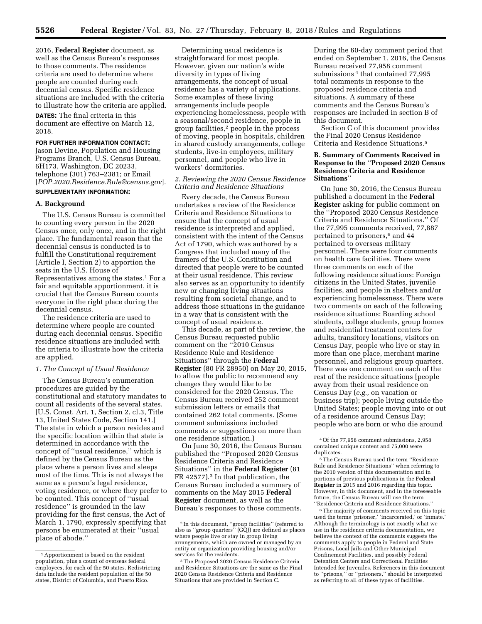2016, **Federal Register** document, as well as the Census Bureau's responses to those comments. The residence criteria are used to determine where people are counted during each decennial census. Specific residence situations are included with the criteria to illustrate how the criteria are applied.

**DATES:** The final criteria in this document are effective on March 12, 2018.

## **FOR FURTHER INFORMATION CONTACT:**

Jason Devine, Population and Housing Programs Branch, U.S. Census Bureau, 6H173, Washington, DC 20233, telephone (301) 763–2381; or Email [*[POP.2020.Residence.Rule@census.gov](mailto:POP.2020.Residence.Rule@census.gov)*].

# **SUPPLEMENTARY INFORMATION:**

#### **A. Background**

The U.S. Census Bureau is committed to counting every person in the 2020 Census once, only once, and in the right place. The fundamental reason that the decennial census is conducted is to fulfill the Constitutional requirement (Article I, Section 2) to apportion the seats in the U.S. House of Representatives among the states.1 For a fair and equitable apportionment, it is crucial that the Census Bureau counts everyone in the right place during the decennial census.

The residence criteria are used to determine where people are counted during each decennial census. Specific residence situations are included with the criteria to illustrate how the criteria are applied.

#### *1. The Concept of Usual Residence*

The Census Bureau's enumeration procedures are guided by the constitutional and statutory mandates to count all residents of the several states. [U.S. Const. Art. 1, Section 2, cl.3, Title 13, United States Code, Section 141.] The state in which a person resides and the specific location within that state is determined in accordance with the concept of ''usual residence,'' which is defined by the Census Bureau as the place where a person lives and sleeps most of the time. This is not always the same as a person's legal residence, voting residence, or where they prefer to be counted. This concept of ''usual residence'' is grounded in the law providing for the first census, the Act of March 1, 1790, expressly specifying that persons be enumerated at their ''usual place of abode.''

Determining usual residence is straightforward for most people. However, given our nation's wide diversity in types of living arrangements, the concept of usual residence has a variety of applications. Some examples of these living arrangements include people experiencing homelessness, people with a seasonal/second residence, people in group facilities,2 people in the process of moving, people in hospitals, children in shared custody arrangements, college students, live-in employees, military personnel, and people who live in workers' dormitories.

## *2. Reviewing the 2020 Census Residence Criteria and Residence Situations*

Every decade, the Census Bureau undertakes a review of the Residence Criteria and Residence Situations to ensure that the concept of usual residence is interpreted and applied, consistent with the intent of the Census Act of 1790, which was authored by a Congress that included many of the framers of the U.S. Constitution and directed that people were to be counted at their usual residence. This review also serves as an opportunity to identify new or changing living situations resulting from societal change, and to address those situations in the guidance in a way that is consistent with the concept of usual residence.

This decade, as part of the review, the Census Bureau requested public comment on the ''2010 Census Residence Rule and Residence Situations'' through the **Federal Register** (80 FR 28950) on May 20, 2015, to allow the public to recommend any changes they would like to be considered for the 2020 Census. The Census Bureau received 252 comment submission letters or emails that contained 262 total comments. (Some comment submissions included comments or suggestions on more than one residence situation.)

On June 30, 2016, the Census Bureau published the ''Proposed 2020 Census Residence Criteria and Residence Situations'' in the **Federal Register** (81 FR 42577).3 In that publication, the Census Bureau included a summary of comments on the May 2015 **Federal Register** document, as well as the Bureau's responses to those comments.

During the 60-day comment period that ended on September 1, 2016, the Census Bureau received 77,958 comment submissions 4 that contained 77,995 total comments in response to the proposed residence criteria and situations. A summary of these comments and the Census Bureau's responses are included in section B of this document.

Section C of this document provides the Final 2020 Census Residence Criteria and Residence Situations.5

## **B. Summary of Comments Received in Response to the** ''**Proposed 2020 Census Residence Criteria and Residence Situations**''

On June 30, 2016, the Census Bureau published a document in the **Federal Register** asking for public comment on the ''Proposed 2020 Census Residence Criteria and Residence Situations.'' Of the 77,995 comments received, 77,887 pertained to prisoners,6 and 44 pertained to overseas military personnel. There were four comments on health care facilities. There were three comments on each of the following residence situations: Foreign citizens in the United States, juvenile facilities, and people in shelters and/or experiencing homelessness. There were two comments on each of the following residence situations: Boarding school students, college students, group homes and residential treatment centers for adults, transitory locations, visitors on Census Day, people who live or stay in more than one place, merchant marine personnel, and religious group quarters. There was one comment on each of the rest of the residence situations [people away from their usual residence on Census Day (*e.g.,* on vacation or business trip); people living outside the United States; people moving into or out of a residence around Census Day; people who are born or who die around

5The Census Bureau used the term ''Residence Rule and Residence Situations'' when referring to the 2010 version of this documentation and in portions of previous publications in the **Federal Register** in 2015 and 2016 regarding this topic. However, in this document, and in the foreseeable future, the Census Bureau will use the term ''Residence Criteria and Residence Situations.''

<sup>6</sup>The majority of comments received on this topic used the terms 'prisoner,' 'incarcerated,' or 'inmate.' Although the terminology is not exactly what we use in the residence criteria documentation, we believe the context of the comments suggests the comments apply to people in Federal and State Prisons, Local Jails and Other Municipal Confinement Facilities, and possibly Federal Detention Centers and Correctional Facilities Intended for Juveniles. References in this document to ''prisons,'' or ''prisoners,'' should be interpreted as referring to all of these types of facilities.

<sup>1</sup>Apportionment is based on the resident population, plus a count of overseas federal employees, for each of the 50 states. Redistricting data include the resident population of the 50 states, District of Columbia, and Puerto Rico.

<sup>2</sup> In this document, ''group facilities'' (referred to also as ''group quarters'' (GQ)) are defined as places where people live or stay in group living arrangements, which are owned or managed by an entity or organization providing housing and/or

<sup>&</sup>lt;sup>3</sup> The Proposed 2020 Census Residence Criteria and Residence Situations are the same as the Final 2020 Census Residence Criteria and Residence Situations that are provided in Section C.

<sup>4</sup>Of the 77,958 comment submissions, 2,958 contained unique content and 75,000 were duplicates.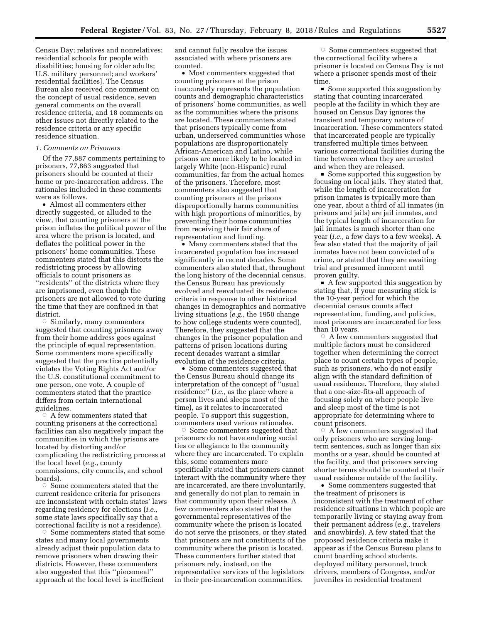Census Day; relatives and nonrelatives; residential schools for people with disabilities; housing for older adults; U.S. military personnel; and workers' residential facilities]. The Census Bureau also received one comment on the concept of usual residence, seven general comments on the overall residence criteria, and 18 comments on other issues not directly related to the residence criteria or any specific residence situation.

#### *1. Comments on Prisoners*

Of the 77,887 comments pertaining to prisoners, 77,863 suggested that prisoners should be counted at their home or pre-incarceration address. The rationales included in these comments were as follows.

• Almost all commenters either directly suggested, or alluded to the view, that counting prisoners at the prison inflates the political power of the area where the prison is located, and deflates the political power in the prisoners' home communities. These commenters stated that this distorts the redistricting process by allowing officials to count prisoners as ''residents'' of the districts where they are imprisoned, even though the prisoners are not allowed to vote during the time that they are confined in that district.

 $\circ$  Similarly, many commenters suggested that counting prisoners away from their home address goes against the principle of equal representation. Some commenters more specifically suggested that the practice potentially violates the Voting Rights Act and/or the U.S. constitutional commitment to one person, one vote. A couple of commenters stated that the practice differs from certain international guidelines.

 $\circ$  A few commenters stated that counting prisoners at the correctional facilities can also negatively impact the communities in which the prisons are located by distorting and/or complicating the redistricting process at the local level (*e.g.,* county commissions, city councils, and school boards).

 $\circ$  Some commenters stated that the current residence criteria for prisoners are inconsistent with certain states' laws regarding residency for elections (*i.e.,*  some state laws specifically say that a correctional facility is not a residence).

 $\circ$  Some commenters stated that some states and many local governments already adjust their population data to remove prisoners when drawing their districts. However, these commenters also suggested that this ''piecemeal'' approach at the local level is inefficient

and cannot fully resolve the issues associated with where prisoners are counted.

• Most commenters suggested that counting prisoners at the prison inaccurately represents the population counts and demographic characteristics of prisoners' home communities, as well as the communities where the prisons are located. These commenters stated that prisoners typically come from urban, underserved communities whose populations are disproportionately African-American and Latino, while prisons are more likely to be located in largely White (non-Hispanic) rural communities, far from the actual homes of the prisoners. Therefore, most commenters also suggested that counting prisoners at the prisons disproportionally harms communities with high proportions of minorities, by preventing their home communities from receiving their fair share of representation and funding.

• Many commenters stated that the incarcerated population has increased significantly in recent decades. Some commenters also stated that, throughout the long history of the decennial census, the Census Bureau has previously evolved and reevaluated its residence criteria in response to other historical changes in demographics and normative living situations (*e.g.,* the 1950 change to how college students were counted). Therefore, they suggested that the changes in the prisoner population and patterns of prison locations during recent decades warrant a similar evolution of the residence criteria.

• Some commenters suggested that the Census Bureau should change its interpretation of the concept of ''usual residence'' (*i.e.,* as the place where a person lives and sleeps most of the time), as it relates to incarcerated people. To support this suggestion, commenters used various rationales.

Æ Some commenters suggested that prisoners do not have enduring social ties or allegiance to the community where they are incarcerated. To explain this, some commenters more specifically stated that prisoners cannot interact with the community where they are incarcerated, are there involuntarily, and generally do not plan to remain in that community upon their release. A few commenters also stated that the governmental representatives of the community where the prison is located do not serve the prisoners, or they stated that prisoners are not constituents of the community where the prison is located. These commenters further stated that prisoners rely, instead, on the representative services of the legislators in their pre-incarceration communities.

 $\circ$  Some commenters suggested that the correctional facility where a prisoner is located on Census Day is not where a prisoner spends most of their time.

■ Some supported this suggestion by stating that counting incarcerated people at the facility in which they are housed on Census Day ignores the transient and temporary nature of incarceration. These commenters stated that incarcerated people are typically transferred multiple times between various correctional facilities during the time between when they are arrested and when they are released.

 $\blacksquare$  Some supported this suggestion by focusing on local jails. They stated that, while the length of incarceration for prison inmates is typically more than one year, about a third of all inmates (in prisons and jails) are jail inmates, and the typical length of incarceration for jail inmates is much shorter than one year (*i.e.,* a few days to a few weeks). A few also stated that the majority of jail inmates have not been convicted of a crime, or stated that they are awaiting trial and presumed innocent until proven guilty.

 $\blacksquare$  A few supported this suggestion by stating that, if your measuring stick is the 10-year period for which the decennial census counts affect representation, funding, and policies, most prisoners are incarcerated for less than 10 years.<br>A few con ©

 A few commenters suggested that multiple factors must be considered together when determining the correct place to count certain types of people, such as prisoners, who do not easily align with the standard definition of usual residence. Therefore, they stated that a one-size-fits-all approach of focusing solely on where people live and sleep most of the time is not appropriate for determining where to count prisoners.

 $\circ$  A few commenters suggested that only prisoners who are serving longterm sentences, such as longer than six months or a year, should be counted at the facility, and that prisoners serving shorter terms should be counted at their usual residence outside of the facility.

• Some commenters suggested that the treatment of prisoners is inconsistent with the treatment of other residence situations in which people are temporarily living or staying away from their permanent address (*e.g.,* travelers and snowbirds). A few stated that the proposed residence criteria make it appear as if the Census Bureau plans to count boarding school students, deployed military personnel, truck drivers, members of Congress, and/or juveniles in residential treatment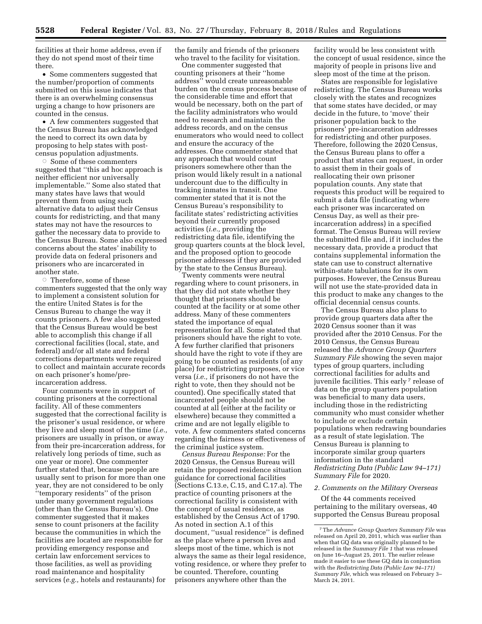facilities at their home address, even if they do not spend most of their time there.

• Some commenters suggested that the number/proportion of comments submitted on this issue indicates that there is an overwhelming consensus urging a change to how prisoners are counted in the census.

• A few commenters suggested that the Census Bureau has acknowledged the need to correct its own data by proposing to help states with postcensus population adjustments.

 $\circ$  Some of these commenters suggested that ''this ad hoc approach is neither efficient nor universally implementable.'' Some also stated that many states have laws that would prevent them from using such alternative data to adjust their Census counts for redistricting, and that many states may not have the resources to gather the necessary data to provide to the Census Bureau. Some also expressed concerns about the states' inability to provide data on federal prisoners and prisoners who are incarcerated in another state.

 $\circ$  Therefore, some of these commenters suggested that the only way to implement a consistent solution for the entire United States is for the Census Bureau to change the way it counts prisoners. A few also suggested that the Census Bureau would be best able to accomplish this change if all correctional facilities (local, state, and federal) and/or all state and federal corrections departments were required to collect and maintain accurate records on each prisoner's home/preincarceration address.

Four comments were in support of counting prisoners at the correctional facility. All of these commenters suggested that the correctional facility is the prisoner's usual residence, or where they live and sleep most of the time (*i.e.,*  prisoners are usually in prison, or away from their pre-incarceration address, for relatively long periods of time, such as one year or more). One commenter further stated that, because people are usually sent to prison for more than one year, they are not considered to be only ''temporary residents'' of the prison under many government regulations (other than the Census Bureau's). One commenter suggested that it makes sense to count prisoners at the facility because the communities in which the facilities are located are responsible for providing emergency response and certain law enforcement services to those facilities, as well as providing road maintenance and hospitality services (*e.g.,* hotels and restaurants) for

the family and friends of the prisoners who travel to the facility for visitation.

One commenter suggested that counting prisoners at their ''home address'' would create unreasonable burden on the census process because of the considerable time and effort that would be necessary, both on the part of the facility administrators who would need to research and maintain the address records, and on the census enumerators who would need to collect and ensure the accuracy of the addresses. One commenter stated that any approach that would count prisoners somewhere other than the prison would likely result in a national undercount due to the difficulty in tracking inmates in transit. One commenter stated that it is not the Census Bureau's responsibility to facilitate states' redistricting activities beyond their currently proposed activities (*i.e.,* providing the redistricting data file, identifying the group quarters counts at the block level, and the proposed option to geocode prisoner addresses if they are provided by the state to the Census Bureau).

Twenty comments were neutral regarding where to count prisoners, in that they did not state whether they thought that prisoners should be counted at the facility or at some other address. Many of these commenters stated the importance of equal representation for all. Some stated that prisoners should have the right to vote. A few further clarified that prisoners should have the right to vote if they are going to be counted as residents (of any place) for redistricting purposes, or vice versa (*i.e.,* if prisoners do not have the right to vote, then they should not be counted). One specifically stated that incarcerated people should not be counted at all (either at the facility or elsewhere) because they committed a crime and are not legally eligible to vote. A few commenters stated concerns regarding the fairness or effectiveness of the criminal justice system.

*Census Bureau Response:* For the 2020 Census, the Census Bureau will retain the proposed residence situation guidance for correctional facilities (Sections C.13.e, C.15, and C.17.a). The practice of counting prisoners at the correctional facility is consistent with the concept of usual residence, as established by the Census Act of 1790. As noted in section A.1 of this document, ''usual residence'' is defined as the place where a person lives and sleeps most of the time, which is not always the same as their legal residence, voting residence, or where they prefer to be counted. Therefore, counting prisoners anywhere other than the

facility would be less consistent with the concept of usual residence, since the majority of people in prisons live and sleep most of the time at the prison.

States are responsible for legislative redistricting. The Census Bureau works closely with the states and recognizes that some states have decided, or may decide in the future, to 'move' their prisoner population back to the prisoners' pre-incarceration addresses for redistricting and other purposes. Therefore, following the 2020 Census, the Census Bureau plans to offer a product that states can request, in order to assist them in their goals of reallocating their own prisoner population counts. Any state that requests this product will be required to submit a data file (indicating where each prisoner was incarcerated on Census Day, as well as their preincarceration address) in a specified format. The Census Bureau will review the submitted file and, if it includes the necessary data, provide a product that contains supplemental information the state can use to construct alternative within-state tabulations for its own purposes. However, the Census Bureau will not use the state-provided data in this product to make any changes to the official decennial census counts.

The Census Bureau also plans to provide group quarters data after the 2020 Census sooner than it was provided after the 2010 Census. For the 2010 Census, the Census Bureau released the *Advance Group Quarters Summary File* showing the seven major types of group quarters, including correctional facilities for adults and juvenile facilities. This early<sup>7</sup> release of data on the group quarters population was beneficial to many data users, including those in the redistricting community who must consider whether to include or exclude certain populations when redrawing boundaries as a result of state legislation. The Census Bureau is planning to incorporate similar group quarters information in the standard *Redistricting Data (Public Law 94–171) Summary File* for 2020.

#### *2. Comments on the Military Overseas*

Of the 44 comments received pertaining to the military overseas, 40 supported the Census Bureau proposal

<sup>7</sup>The *Advance Group Quarters Summary File* was released on April 20, 2011, which was earlier than when that GQ data was originally planned to be released in the *Summary File 1* that was released on June 16–August 25, 2011. The earlier release made it easier to use these GQ data in conjunction with the *Redistricting Data (Public Law 94–171) Summary File,* which was released on February 3– March 24, 2011.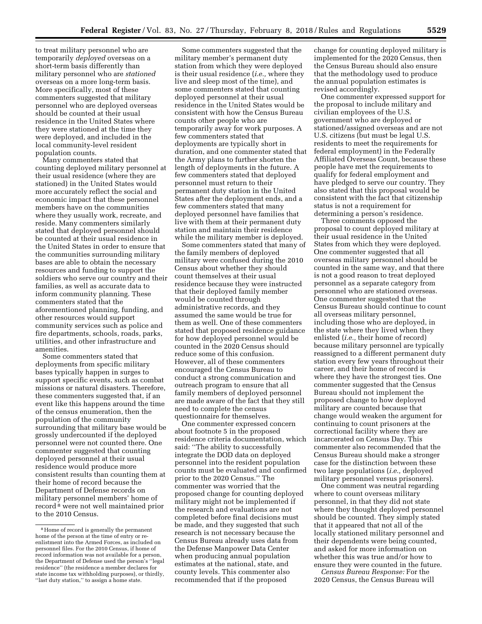to treat military personnel who are temporarily *deployed* overseas on a short-term basis differently than military personnel who are *stationed*  overseas on a more long-term basis. More specifically, most of these commenters suggested that military personnel who are deployed overseas should be counted at their usual residence in the United States where they were stationed at the time they were deployed, and included in the local community-level resident population counts.

Many commenters stated that counting deployed military personnel at their usual residence (where they are stationed) in the United States would more accurately reflect the social and economic impact that these personnel members have on the communities where they usually work, recreate, and reside. Many commenters similarly stated that deployed personnel should be counted at their usual residence in the United States in order to ensure that the communities surrounding military bases are able to obtain the necessary resources and funding to support the soldiers who serve our country and their families, as well as accurate data to inform community planning. These commenters stated that the aforementioned planning, funding, and other resources would support community services such as police and fire departments, schools, roads, parks, utilities, and other infrastructure and amenities.

Some commenters stated that deployments from specific military bases typically happen in surges to support specific events, such as combat missions or natural disasters. Therefore, these commenters suggested that, if an event like this happens around the time of the census enumeration, then the population of the community surrounding that military base would be grossly undercounted if the deployed personnel were not counted there. One commenter suggested that counting deployed personnel at their usual residence would produce more consistent results than counting them at their home of record because the Department of Defense records on military personnel members' home of record 8 were not well maintained prior to the 2010 Census.

Some commenters suggested that the military member's permanent duty station from which they were deployed is their usual residence (*i.e.,* where they live and sleep most of the time), and some commenters stated that counting deployed personnel at their usual residence in the United States would be consistent with how the Census Bureau counts other people who are temporarily away for work purposes. A few commenters stated that deployments are typically short in duration, and one commenter stated that the Army plans to further shorten the length of deployments in the future. A few commenters stated that deployed personnel must return to their permanent duty station in the United States after the deployment ends, and a few commenters stated that many deployed personnel have families that live with them at their permanent duty station and maintain their residence while the military member is deployed.

Some commenters stated that many of the family members of deployed military were confused during the 2010 Census about whether they should count themselves at their usual residence because they were instructed that their deployed family member would be counted through administrative records, and they assumed the same would be true for them as well. One of these commenters stated that proposed residence guidance for how deployed personnel would be counted in the 2020 Census should reduce some of this confusion. However, all of these commenters encouraged the Census Bureau to conduct a strong communication and outreach program to ensure that all family members of deployed personnel are made aware of the fact that they still need to complete the census questionnaire for themselves.

One commenter expressed concern about footnote 5 in the proposed residence criteria documentation, which said: ''The ability to successfully integrate the DOD data on deployed personnel into the resident population counts must be evaluated and confirmed prior to the 2020 Census.'' The commenter was worried that the proposed change for counting deployed military might not be implemented if the research and evaluations are not completed before final decisions must be made, and they suggested that such research is not necessary because the Census Bureau already uses data from the Defense Manpower Data Center when producing annual population estimates at the national, state, and county levels. This commenter also recommended that if the proposed

change for counting deployed military is implemented for the 2020 Census, then the Census Bureau should also ensure that the methodology used to produce the annual population estimates is revised accordingly.

One commenter expressed support for the proposal to include military and civilian employees of the U.S. government who are deployed or stationed/assigned overseas and are not U.S. citizens (but must be legal U.S. residents to meet the requirements for federal employment) in the Federally Affiliated Overseas Count, because these people have met the requirements to qualify for federal employment and have pledged to serve our country. They also stated that this proposal would be consistent with the fact that citizenship status is not a requirement for determining a person's residence.

Three comments opposed the proposal to count deployed military at their usual residence in the United States from which they were deployed. One commenter suggested that all overseas military personnel should be counted in the same way, and that there is not a good reason to treat deployed personnel as a separate category from personnel who are stationed overseas. One commenter suggested that the Census Bureau should continue to count all overseas military personnel, including those who are deployed, in the state where they lived when they enlisted (*i.e.,* their home of record) because military personnel are typically reassigned to a different permanent duty station every few years throughout their career, and their home of record is where they have the strongest ties. One commenter suggested that the Census Bureau should not implement the proposed change to how deployed military are counted because that change would weaken the argument for continuing to count prisoners at the correctional facility where they are incarcerated on Census Day. This commenter also recommended that the Census Bureau should make a stronger case for the distinction between these two large populations (*i.e.,* deployed military personnel versus prisoners).

One comment was neutral regarding where to count overseas military personnel, in that they did not state where they thought deployed personnel should be counted. They simply stated that it appeared that not all of the locally stationed military personnel and their dependents were being counted, and asked for more information on whether this was true and/or how to ensure they were counted in the future.

*Census Bureau Response:* For the 2020 Census, the Census Bureau will

<sup>8</sup>Home of record is generally the permanent home of the person at the time of entry or reenlistment into the Armed Forces, as included on personnel files. For the 2010 Census, if home of record information was not available for a person, the Department of Defense used the person's ''legal residence'' (the residence a member declares for state income tax withholding purposes), or thirdly, "last duty station," to assign a home state.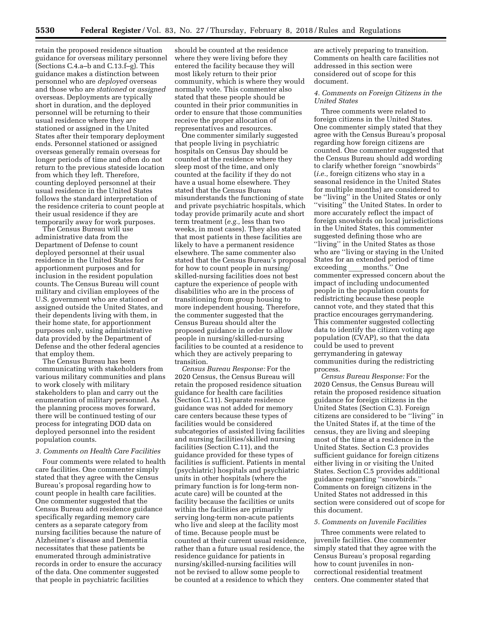retain the proposed residence situation guidance for overseas military personnel (Sections C.4.a–b and C.13.f–g). This guidance makes a distinction between personnel who are *deployed* overseas and those who are *stationed* or *assigned*  overseas. Deployments are typically short in duration, and the deployed personnel will be returning to their usual residence where they are stationed or assigned in the United States after their temporary deployment ends. Personnel stationed or assigned overseas generally remain overseas for longer periods of time and often do not return to the previous stateside location from which they left. Therefore, counting deployed personnel at their usual residence in the United States follows the standard interpretation of the residence criteria to count people at their usual residence if they are temporarily away for work purposes.

The Census Bureau will use administrative data from the Department of Defense to count deployed personnel at their usual residence in the United States for apportionment purposes and for inclusion in the resident population counts. The Census Bureau will count military and civilian employees of the U.S. government who are stationed or assigned outside the United States, and their dependents living with them, in their home state, for apportionment purposes only, using administrative data provided by the Department of Defense and the other federal agencies that employ them.

The Census Bureau has been communicating with stakeholders from various military communities and plans to work closely with military stakeholders to plan and carry out the enumeration of military personnel. As the planning process moves forward, there will be continued testing of our process for integrating DOD data on deployed personnel into the resident population counts.

#### *3. Comments on Health Care Facilities*

Four comments were related to health care facilities. One commenter simply stated that they agree with the Census Bureau's proposal regarding how to count people in health care facilities. One commenter suggested that the Census Bureau add residence guidance specifically regarding memory care centers as a separate category from nursing facilities because the nature of Alzheimer's disease and Dementia necessitates that these patients be enumerated through administrative records in order to ensure the accuracy of the data. One commenter suggested that people in psychiatric facilities

should be counted at the residence where they were living before they entered the facility because they will most likely return to their prior community, which is where they would normally vote. This commenter also stated that these people should be counted in their prior communities in order to ensure that those communities receive the proper allocation of representatives and resources.

One commenter similarly suggested that people living in psychiatric hospitals on Census Day should be counted at the residence where they sleep most of the time, and only counted at the facility if they do not have a usual home elsewhere. They stated that the Census Bureau misunderstands the functioning of state and private psychiatric hospitals, which today provide primarily acute and short term treatment (*e.g.,* less than two weeks, in most cases). They also stated that most patients in these facilities are likely to have a permanent residence elsewhere. The same commenter also stated that the Census Bureau's proposal for how to count people in nursing/ skilled-nursing facilities does not best capture the experience of people with disabilities who are in the process of transitioning from group housing to more independent housing. Therefore, the commenter suggested that the Census Bureau should alter the proposed guidance in order to allow people in nursing/skilled-nursing facilities to be counted at a residence to which they are actively preparing to transition.

*Census Bureau Response:* For the 2020 Census, the Census Bureau will retain the proposed residence situation guidance for health care facilities (Section C.11). Separate residence guidance was not added for memory care centers because these types of facilities would be considered subcategories of assisted living facilities and nursing facilities/skilled nursing facilities (Section C.11), and the guidance provided for these types of facilities is sufficient. Patients in mental (psychiatric) hospitals and psychiatric units in other hospitals (where the primary function is for long-term nonacute care) will be counted at the facility because the facilities or units within the facilities are primarily serving long-term non-acute patients who live and sleep at the facility most of time. Because people must be counted at their current usual residence, rather than a future usual residence, the residence guidance for patients in nursing/skilled-nursing facilities will not be revised to allow some people to be counted at a residence to which they

are actively preparing to transition. Comments on health care facilities not addressed in this section were considered out of scope for this document.

## *4. Comments on Foreign Citizens in the United States*

Three comments were related to foreign citizens in the United States. One commenter simply stated that they agree with the Census Bureau's proposal regarding how foreign citizens are counted. One commenter suggested that the Census Bureau should add wording to clarify whether foreign ''snowbirds'' (*i.e.,* foreign citizens who stay in a seasonal residence in the United States for multiple months) are considered to be ''living'' in the United States or only ''visiting'' the United States. In order to more accurately reflect the impact of foreign snowbirds on local jurisdictions in the United States, this commenter suggested defining those who are "living" in the United States as those who are ''living or staying in the United States for an extended period of time exceeding months." One commenter expressed concern about the impact of including undocumented people in the population counts for redistricting because these people cannot vote, and they stated that this practice encourages gerrymandering. This commenter suggested collecting data to identify the citizen voting age population (CVAP), so that the data could be used to prevent gerrymandering in gateway communities during the redistricting process.

*Census Bureau Response:* For the 2020 Census, the Census Bureau will retain the proposed residence situation guidance for foreign citizens in the United States (Section C.3). Foreign citizens are considered to be ''living'' in the United States if, at the time of the census, they are living and sleeping most of the time at a residence in the United States. Section C.3 provides sufficient guidance for foreign citizens either living in or visiting the United States. Section C.5 provides additional guidance regarding ''snowbirds.'' Comments on foreign citizens in the United States not addressed in this section were considered out of scope for this document.

#### *5. Comments on Juvenile Facilities*

Three comments were related to juvenile facilities. One commenter simply stated that they agree with the Census Bureau's proposal regarding how to count juveniles in noncorrectional residential treatment centers. One commenter stated that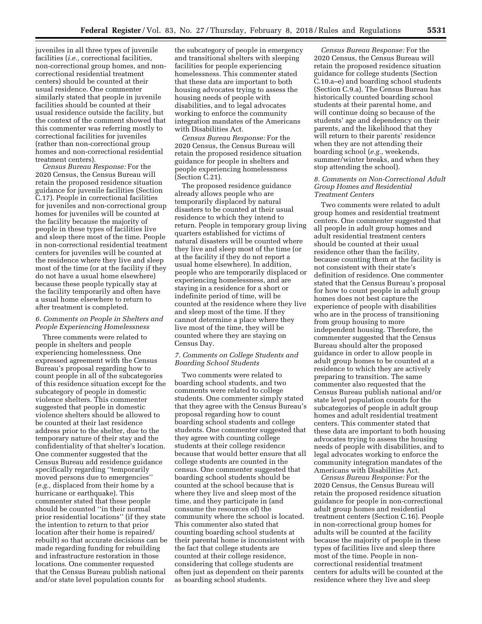juveniles in all three types of juvenile facilities (*i.e.,* correctional facilities, non-correctional group homes, and noncorrectional residential treatment centers) should be counted at their usual residence. One commenter similarly stated that people in juvenile facilities should be counted at their usual residence outside the facility, but the context of the comment showed that this commenter was referring mostly to correctional facilities for juveniles (rather than non-correctional group homes and non-correctional residential treatment centers).

*Census Bureau Response:* For the 2020 Census, the Census Bureau will retain the proposed residence situation guidance for juvenile facilities (Section C.17). People in correctional facilities for juveniles and non-correctional group homes for juveniles will be counted at the facility because the majority of people in these types of facilities live and sleep there most of the time. People in non-correctional residential treatment centers for juveniles will be counted at the residence where they live and sleep most of the time (or at the facility if they do not have a usual home elsewhere) because these people typically stay at the facility temporarily and often have a usual home elsewhere to return to after treatment is completed.

## *6. Comments on People in Shelters and People Experiencing Homelessness*

Three comments were related to people in shelters and people experiencing homelessness. One expressed agreement with the Census Bureau's proposal regarding how to count people in all of the subcategories of this residence situation except for the subcategory of people in domestic violence shelters. This commenter suggested that people in domestic violence shelters should be allowed to be counted at their last residence address prior to the shelter, due to the temporary nature of their stay and the confidentiality of that shelter's location. One commenter suggested that the Census Bureau add residence guidance specifically regarding ''temporarily moved persons due to emergencies'' (*e.g.,* displaced from their home by a hurricane or earthquake). This commenter stated that these people should be counted ''in their normal prior residential locations'' (if they state the intention to return to that prior location after their home is repaired/ rebuilt) so that accurate decisions can be made regarding funding for rebuilding and infrastructure restoration in those locations. One commenter requested that the Census Bureau publish national and/or state level population counts for

the subcategory of people in emergency and transitional shelters with sleeping facilities for people experiencing homelessness. This commenter stated that these data are important to both housing advocates trying to assess the housing needs of people with disabilities, and to legal advocates working to enforce the community integration mandates of the Americans with Disabilities Act.

*Census Bureau Response:* For the 2020 Census, the Census Bureau will retain the proposed residence situation guidance for people in shelters and people experiencing homelessness (Section C.21).

The proposed residence guidance already allows people who are temporarily displaced by natural disasters to be counted at their usual residence to which they intend to return. People in temporary group living quarters established for victims of natural disasters will be counted where they live and sleep most of the time (or at the facility if they do not report a usual home elsewhere). In addition, people who are temporarily displaced or experiencing homelessness, and are staying in a residence for a short or indefinite period of time, will be counted at the residence where they live and sleep most of the time. If they cannot determine a place where they live most of the time, they will be counted where they are staying on Census Day.

## *7. Comments on College Students and Boarding School Students*

Two comments were related to boarding school students, and two comments were related to college students. One commenter simply stated that they agree with the Census Bureau's proposal regarding how to count boarding school students and college students. One commenter suggested that they agree with counting college students at their college residence because that would better ensure that all college students are counted in the census. One commenter suggested that boarding school students should be counted at the school because that is where they live and sleep most of the time, and they participate in (and consume the resources of) the community where the school is located. This commenter also stated that counting boarding school students at their parental home is inconsistent with the fact that college students are counted at their college residence, considering that college students are often just as dependent on their parents as boarding school students.

*Census Bureau Response:* For the 2020 Census, the Census Bureau will retain the proposed residence situation guidance for college students (Section C.10.a–e) and boarding school students (Section C.9.a). The Census Bureau has historically counted boarding school students at their parental home, and will continue doing so because of the students' age and dependency on their parents, and the likelihood that they will return to their parents' residence when they are not attending their boarding school (*e.g.,* weekends, summer/winter breaks, and when they stop attending the school).

#### *8. Comments on Non-Correctional Adult Group Homes and Residential Treatment Centers*

Two comments were related to adult group homes and residential treatment centers. One commenter suggested that all people in adult group homes and adult residential treatment centers should be counted at their usual residence other than the facility, because counting them at the facility is not consistent with their state's definition of residence. One commenter stated that the Census Bureau's proposal for how to count people in adult group homes does not best capture the experience of people with disabilities who are in the process of transitioning from group housing to more independent housing. Therefore, the commenter suggested that the Census Bureau should alter the proposed guidance in order to allow people in adult group homes to be counted at a residence to which they are actively preparing to transition. The same commenter also requested that the Census Bureau publish national and/or state level population counts for the subcategories of people in adult group homes and adult residential treatment centers. This commenter stated that these data are important to both housing advocates trying to assess the housing needs of people with disabilities, and to legal advocates working to enforce the community integration mandates of the Americans with Disabilities Act.

*Census Bureau Response:* For the 2020 Census, the Census Bureau will retain the proposed residence situation guidance for people in non-correctional adult group homes and residential treatment centers (Section C.16). People in non-correctional group homes for adults will be counted at the facility because the majority of people in these types of facilities live and sleep there most of the time. People in noncorrectional residential treatment centers for adults will be counted at the residence where they live and sleep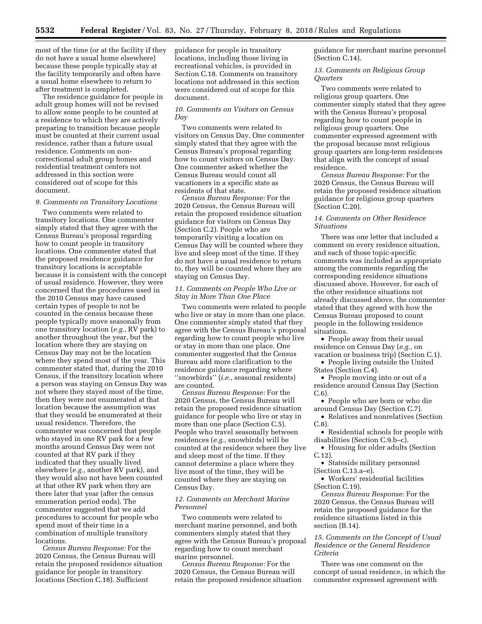most of the time (or at the facility if they do not have a usual home elsewhere) because these people typically stay at the facility temporarily and often have a usual home elsewhere to return to after treatment is completed.

The residence guidance for people in adult group homes will not be revised to allow some people to be counted at a residence to which they are actively preparing to transition because people must be counted at their current usual residence, rather than a future usual residence. Comments on noncorrectional adult group homes and residential treatment centers not addressed in this section were considered out of scope for this document.

## *9. Comments on Transitory Locations*

Two comments were related to transitory locations. One commenter simply stated that they agree with the Census Bureau's proposal regarding how to count people in transitory locations. One commenter stated that the proposed residence guidance for transitory locations is acceptable because it is consistent with the concept of usual residence. However, they were concerned that the procedures used in the 2010 Census may have caused certain types of people to not be counted in the census because these people typically move seasonally from one transitory location (*e.g.,* RV park) to another throughout the year, but the location where they are staying on Census Day may not be the location where they spend most of the year. This commenter stated that, during the 2010 Census, if the transitory location where a person was staying on Census Day was not where they stayed most of the time, then they were not enumerated at that location because the assumption was that they would be enumerated at their usual residence. Therefore, the commenter was concerned that people who stayed in one RV park for a few months around Census Day were not counted at that RV park if they indicated that they usually lived elsewhere (*e.g.,* another RV park), and they would also not have been counted at that other RV park when they are there later that year (after the census enumeration period ends). The commenter suggested that we add procedures to account for people who spend most of their time in a combination of multiple transitory locations.

*Census Bureau Response:* For the 2020 Census, the Census Bureau will retain the proposed residence situation guidance for people in transitory locations (Section C.18). Sufficient

guidance for people in transitory locations, including those living in recreational vehicles, is provided in Section C.18. Comments on transitory locations not addressed in this section were considered out of scope for this document.

## *10. Comments on Visitors on Census Day*

Two comments were related to visitors on Census Day. One commenter simply stated that they agree with the Census Bureau's proposal regarding how to count visitors on Census Day. One commenter asked whether the Census Bureau would count all vacationers in a specific state as residents of that state.

*Census Bureau Response:* For the 2020 Census, the Census Bureau will retain the proposed residence situation guidance for visitors on Census Day (Section C.2). People who are temporarily visiting a location on Census Day will be counted where they live and sleep most of the time. If they do not have a usual residence to return to, they will be counted where they are staying on Census Day.

#### *11. Comments on People Who Live or Stay in More Than One Place*

Two comments were related to people who live or stay in more than one place. One commenter simply stated that they agree with the Census Bureau's proposal regarding how to count people who live or stay in more than one place. One commenter suggested that the Census Bureau add more clarification to the residence guidance regarding where ''snowbirds'' (*i.e.,* seasonal residents) are counted.

*Census Bureau Response:* For the 2020 Census, the Census Bureau will retain the proposed residence situation guidance for people who live or stay in more than one place (Section C.5). People who travel seasonally between residences (*e.g.,* snowbirds) will be counted at the residence where they live and sleep most of the time. If they cannot determine a place where they live most of the time, they will be counted where they are staying on Census Day.

## *12. Comments on Merchant Marine Personnel*

Two comments were related to merchant marine personnel, and both commenters simply stated that they agree with the Census Bureau's proposal regarding how to count merchant marine personnel.

*Census Bureau Response:* For the 2020 Census, the Census Bureau will retain the proposed residence situation guidance for merchant marine personnel (Section C.14).

*13. Comments on Religious Group Quarters* 

Two comments were related to religious group quarters. One commenter simply stated that they agree with the Census Bureau's proposal regarding how to count people in religious group quarters. One commenter expressed agreement with the proposal because most religious group quarters are long-term residences that align with the concept of usual residence.

*Census Bureau Response:* For the 2020 Census, the Census Bureau will retain the proposed residence situation guidance for religious group quarters (Section C.20).

## *14. Comments on Other Residence Situations*

There was one letter that included a comment on every residence situation, and each of those topic-specific comments was included as appropriate among the comments regarding the corresponding residence situations discussed above. However, for each of the other residence situations not already discussed above, the commenter stated that they agreed with how the Census Bureau proposed to count people in the following residence situations.

• People away from their usual residence on Census Day (*e.g.,* on vacation or business trip) (Section C.1).

• People living outside the United States (Section C.4).

• People moving into or out of a residence around Census Day (Section C.6).

• People who are born or who die around Census Day (Section C.7).

• Relatives and nonrelatives (Section C.8).

- Residential schools for people with disabilities (Section C.9.b–c).
- Housing for older adults (Section C.12).
- Stateside military personnel (Section C.13.a–e).

• Workers' residential facilities (Section C.19).

*Census Bureau Response:* For the 2020 Census, the Census Bureau will retain the proposed guidance for the residence situations listed in this section (B.14).

## *15. Comments on the Concept of Usual Residence or the General Residence Criteria*

There was one comment on the concept of usual residence, in which the commenter expressed agreement with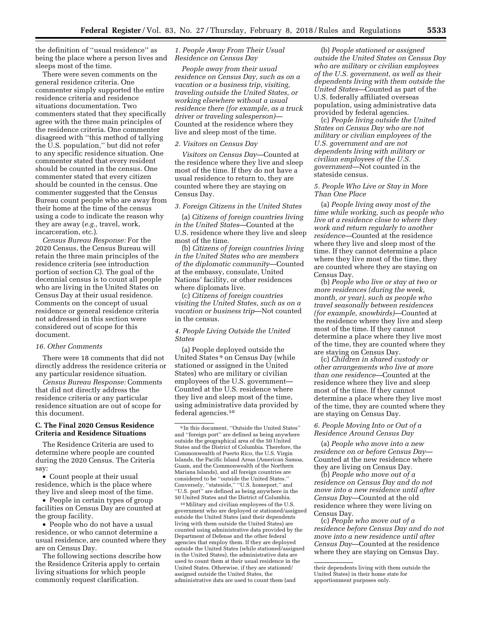the definition of ''usual residence'' as being the place where a person lives and sleeps most of the time.

There were seven comments on the general residence criteria. One commenter simply supported the entire residence criteria and residence situations documentation. Two commenters stated that they specifically agree with the three main principles of the residence criteria. One commenter disagreed with ''this method of tallying the U.S. population,'' but did not refer to any specific residence situation. One commenter stated that every resident should be counted in the census. One commenter stated that every citizen should be counted in the census. One commenter suggested that the Census Bureau count people who are away from their home at the time of the census using a code to indicate the reason why they are away (*e.g.,* travel, work, incarceration, etc.).

*Census Bureau Response:* For the 2020 Census, the Census Bureau will retain the three main principles of the residence criteria (see introduction portion of section C). The goal of the decennial census is to count all people who are living in the United States on Census Day at their usual residence. Comments on the concept of usual residence or general residence criteria not addressed in this section were considered out of scope for this document.

#### *16. Other Comments*

There were 18 comments that did not directly address the residence criteria or any particular residence situation.

*Census Bureau Response:* Comments that did not directly address the residence criteria or any particular residence situation are out of scope for this document.

## **C. The Final 2020 Census Residence Criteria and Residence Situations**

The Residence Criteria are used to determine where people are counted during the 2020 Census. The Criteria say:

• Count people at their usual residence, which is the place where they live and sleep most of the time.

• People in certain types of group facilities on Census Day are counted at the group facility.

• People who do not have a usual residence, or who cannot determine a usual residence, are counted where they are on Census Day.

The following sections describe how the Residence Criteria apply to certain living situations for which people commonly request clarification.

*1. People Away From Their Usual Residence on Census Day* 

*People away from their usual residence on Census Day, such as on a vacation or a business trip, visiting, traveling outside the United States, or working elsewhere without a usual residence there (for example, as a truck driver or traveling salesperson)*— Counted at the residence where they live and sleep most of the time.

#### *2. Visitors on Census Day*

*Visitors on Census Day*—Counted at the residence where they live and sleep most of the time. If they do not have a usual residence to return to, they are counted where they are staying on Census Day.

# *3. Foreign Citizens in the United States*

(a) *Citizens of foreign countries living in the United States*—Counted at the U.S. residence where they live and sleep most of the time.

(b) *Citizens of foreign countries living in the United States who are members of the diplomatic community*—Counted at the embassy, consulate, United Nations' facility, or other residences where diplomats live.

(c) *Citizens of foreign countries visiting the United States, such as on a vacation or business trip*—Not counted in the census.

## *4. People Living Outside the United States*

(a) People deployed outside the United States 9 on Census Day (while stationed or assigned in the United States) who are military or civilian employees of the U.S. government— Counted at the U.S. residence where they live and sleep most of the time, using administrative data provided by federal agencies.10

10Military and civilian employees of the U.S. government who are deployed or stationed/assigned outside the United States (and their dependents living with them outside the United States) are counted using administrative data provided by the Department of Defense and the other federal agencies that employ them. If they are deployed outside the United States (while stationed/assigned in the United States), the administrative data are used to count them at their usual residence in the United States. Otherwise, if they are stationed/ assigned outside the United States, the administrative data are used to count them (and

(b) *People stationed or assigned outside the United States on Census Day who are military or civilian employees of the U.S. government, as well as their dependents living with them outside the United States*—Counted as part of the U.S. federally affiliated overseas population, using administrative data provided by federal agencies.

(c) *People living outside the United States on Census Day who are not military or civilian employees of the U.S. government and are not dependents living with military or civilian employees of the U.S. government*—Not counted in the stateside census.

## *5. People Who Live or Stay in More Than One Place*

(a) *People living away most of the time while working, such as people who live at a residence close to where they work and return regularly to another residence*—Counted at the residence where they live and sleep most of the time. If they cannot determine a place where they live most of the time, they are counted where they are staying on Census Day.

(b) *People who live or stay at two or more residences (during the week, month, or year), such as people who travel seasonally between residences (for example, snowbirds)*—Counted at the residence where they live and sleep most of the time. If they cannot determine a place where they live most of the time, they are counted where they are staying on Census Day.

(c) *Children in shared custody or other arrangements who live at more than one residence*—Counted at the residence where they live and sleep most of the time. If they cannot determine a place where they live most of the time, they are counted where they are staying on Census Day.

## *6. People Moving Into or Out of a Residence Around Census Day*

(a) *People who move into a new residence on or before Census Day*— Counted at the new residence where they are living on Census Day.

(b) *People who move out of a residence on Census Day and do not move into a new residence until after Census Day*—Counted at the old residence where they were living on Census Day.

(c) *People who move out of a residence before Census Day and do not move into a new residence until after Census Day*—Counted at the residence where they are staying on Census Day.

<sup>9</sup> In this document, ''Outside the United States'' and ''foreign port'' are defined as being anywhere outside the geographical area of the 50 United States and the District of Columbia. Therefore, the Commonwealth of Puerto Rico, the U.S. Virgin Islands, the Pacific Island Areas (American Samoa, Guam, and the Commonwealth of the Northern Mariana Islands), and all foreign countries are considered to be ''outside the United States.'' Conversely, ''stateside,'' ''U.S. homeport,'' and ''U.S. port'' are defined as being anywhere in the 50 United States and the District of Columbia.

their dependents living with them outside the United States) in their home state for apportionment purposes only.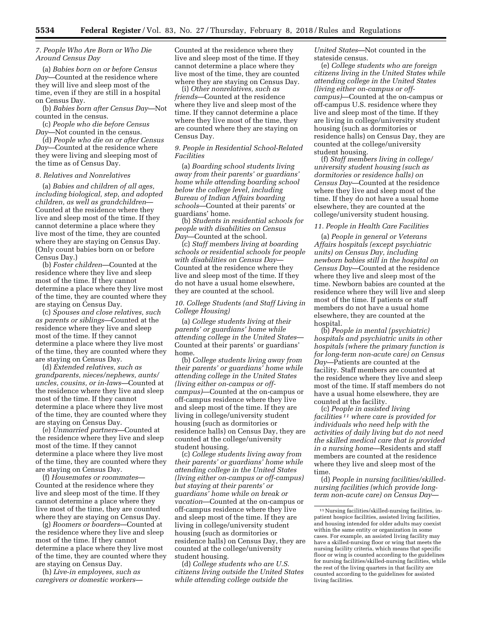## *7. People Who Are Born or Who Die Around Census Day*

(a) *Babies born on or before Census Day*—Counted at the residence where they will live and sleep most of the time, even if they are still in a hospital on Census Day.

(b) *Babies born after Census Day*—Not counted in the census.

(c) *People who die before Census Day*—Not counted in the census.

(d) *People who die on or after Census Day*—Counted at the residence where they were living and sleeping most of the time as of Census Day.

#### *8. Relatives and Nonrelatives*

(a) *Babies and children of all ages, including biological, step, and adopted children, as well as grandchildren*— Counted at the residence where they live and sleep most of the time. If they cannot determine a place where they live most of the time, they are counted where they are staying on Census Day. (Only count babies born on or before Census Day.)

(b) *Foster children*—Counted at the residence where they live and sleep most of the time. If they cannot determine a place where they live most of the time, they are counted where they are staying on Census Day.

(c) *Spouses and close relatives, such as parents or siblings*—Counted at the residence where they live and sleep most of the time. If they cannot determine a place where they live most of the time, they are counted where they are staying on Census Day.

(d) *Extended relatives, such as grandparents, nieces/nephews, aunts/ uncles, cousins, or in-laws—*Counted at the residence where they live and sleep most of the time. If they cannot determine a place where they live most of the time, they are counted where they are staying on Census Day.

(e) *Unmarried partners—*Counted at the residence where they live and sleep most of the time. If they cannot determine a place where they live most of the time, they are counted where they are staying on Census Day.

(f) *Housemates or roommates*— Counted at the residence where they live and sleep most of the time. If they cannot determine a place where they live most of the time, they are counted where they are staying on Census Day.

(g) *Roomers or boarders*—Counted at the residence where they live and sleep most of the time. If they cannot determine a place where they live most of the time, they are counted where they are staying on Census Day.

(h) *Live-in employees, such as caregivers or domestic workers—*  Counted at the residence where they live and sleep most of the time. If they cannot determine a place where they live most of the time, they are counted where they are staying on Census Day.

(i) *Other nonrelatives, such as friends*—Counted at the residence where they live and sleep most of the time. If they cannot determine a place where they live most of the time, they are counted where they are staying on Census Day.

## *9. People in Residential School-Related Facilities*

(a) *Boarding school students living away from their parents' or guardians' home while attending boarding school below the college level, including Bureau of Indian Affairs boarding schools*—Counted at their parents' or guardians' home.

(b) *Students in residential schools for people with disabilities on Census Day*—Counted at the school.

(c) *Staff members living at boarding schools or residential schools for people with disabilities on Census Day*— Counted at the residence where they live and sleep most of the time. If they do not have a usual home elsewhere, they are counted at the school.

## *10. College Students (and Staff Living in College Housing)*

(a) *College students living at their parents' or guardians' home while attending college in the United States*— Counted at their parents' or guardians' home.

(b) *College students living away from their parents' or guardians' home while attending college in the United States (living either on-campus or offcampus)*—Counted at the on-campus or off-campus residence where they live and sleep most of the time. If they are living in college/university student housing (such as dormitories or residence halls) on Census Day, they are counted at the college/university student housing.

(c) *College students living away from their parents' or guardians' home while attending college in the United States (living either on-campus or off-campus) but staying at their parents' or guardians' home while on break or vacation*—Counted at the on-campus or off-campus residence where they live and sleep most of the time. If they are living in college/university student housing (such as dormitories or residence halls) on Census Day, they are counted at the college/university student housing.

(d) *College students who are U.S. citizens living outside the United States while attending college outside the* 

*United States*—Not counted in the stateside census.

(e) *College students who are foreign citizens living in the United States while attending college in the United States (living either on-campus or offcampus)*—Counted at the on-campus or off-campus U.S. residence where they live and sleep most of the time. If they are living in college/university student housing (such as dormitories or residence halls) on Census Day, they are counted at the college/university student housing.

(f) *Staff members living in college/ university student housing (such as dormitories or residence halls) on Census Day*—Counted at the residence where they live and sleep most of the time. If they do not have a usual home elsewhere, they are counted at the college/university student housing.

#### *11. People in Health Care Facilities*

(a) *People in general or Veterans Affairs hospitals (except psychiatric units) on Census Day, including newborn babies still in the hospital on Census Day*—Counted at the residence where they live and sleep most of the time. Newborn babies are counted at the residence where they will live and sleep most of the time. If patients or staff members do not have a usual home elsewhere, they are counted at the hospital.

(b) *People in mental (psychiatric) hospitals and psychiatric units in other hospitals (where the primary function is for long-term non-acute care) on Census Day*—Patients are counted at the facility. Staff members are counted at the residence where they live and sleep most of the time. If staff members do not have a usual home elsewhere, they are counted at the facility.

(c) *People in assisted living facilities 11 where care is provided for individuals who need help with the activities of daily living but do not need the skilled medical care that is provided in a nursing home*—Residents and staff members are counted at the residence where they live and sleep most of the time.

(d) *People in nursing facilities/skillednursing facilities (which provide longterm non-acute care) on Census Day*—

<sup>11</sup>Nursing facilities/skilled-nursing facilities, inpatient hospice facilities, assisted living facilities, and housing intended for older adults may coexist within the same entity or organization in some cases. For example, an assisted living facility may have a skilled-nursing floor or wing that meets the nursing facility criteria, which means that specific floor or wing is counted according to the guidelines for nursing facilities/skilled-nursing facilities, while the rest of the living quarters in that facility are counted according to the guidelines for assisted living facilities.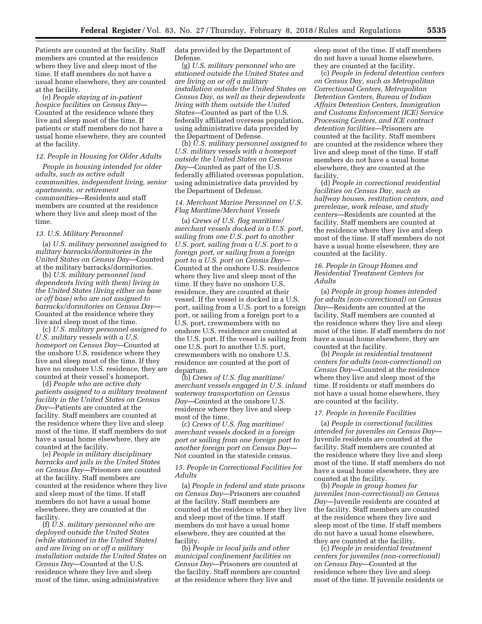Patients are counted at the facility. Staff members are counted at the residence where they live and sleep most of the time. If staff members do not have a usual home elsewhere, they are counted at the facility.

(e) *People staying at in-patient hospice facilities on Census Day*— Counted at the residence where they live and sleep most of the time. If patients or staff members do not have a usual home elsewhere, they are counted at the facility.

#### *12. People in Housing for Older Adults*

*People in housing intended for older adults, such as active adult communities, independent living, senior apartments, or retirement communities*—Residents and staff members are counted at the residence where they live and sleep most of the time.

#### *13. U.S. Military Personnel*

(a) *U.S. military personnel assigned to military barracks/dormitories in the United States on Census Day*—Counted at the military barracks/dormitories.

(b) *U.S. military personnel (and dependents living with them) living in the United States (living either on base or off base) who are not assigned to barracks/dormitories on Census Day*— Counted at the residence where they live and sleep most of the time.

(c) *U.S. military personnel assigned to U.S. military vessels with a U.S. homeport on Census Day*—Counted at the onshore U.S. residence where they live and sleep most of the time. If they have no onshore U.S. residence, they are counted at their vessel's homeport.

(d) *People who are active duty patients assigned to a military treatment facility in the United States on Census Day*—Patients are counted at the facility. Staff members are counted at the residence where they live and sleep most of the time. If staff members do not have a usual home elsewhere, they are counted at the facility.

(e) *People in military disciplinary barracks and jails in the United States on Census Day*—Prisoners are counted at the facility. Staff members are counted at the residence where they live and sleep most of the time. If staff members do not have a usual home elsewhere, they are counted at the facility.

(f) *U.S. military personnel who are deployed outside the United States (while stationed in the United States) and are living on or off a military installation outside the United States on Census Day*—Counted at the U.S. residence where they live and sleep most of the time, using administrative

data provided by the Department of Defense.

(g) *U.S. military personnel who are stationed outside the United States and are living on or off a military installation outside the United States on Census Day, as well as their dependents living with them outside the United States*—Counted as part of the U.S. federally affiliated overseas population, using administrative data provided by the Department of Defense.

(h) *U.S. military personnel assigned to U.S. military vessels with a homeport outside the United States on Census Day*—Counted as part of the U.S. federally affiliated overseas population, using administrative data provided by the Department of Defense.

## *14. Merchant Marine Personnel on U.S. Flag Maritime/Merchant Vessels*

(a) *Crews of U.S. flag maritime/ merchant vessels docked in a U.S. port, sailing from one U.S. port to another U.S. port, sailing from a U.S. port to a foreign port, or sailing from a foreign port to a U.S. port on Census Day*— Counted at the onshore U.S. residence where they live and sleep most of the time. If they have no onshore U.S. residence, they are counted at their vessel. If the vessel is docked in a U.S. port, sailing from a U.S. port to a foreign port, or sailing from a foreign port to a U.S. port, crewmembers with no onshore U.S. residence are counted at the U.S. port. If the vessel is sailing from one U.S. port to another U.S. port, crewmembers with no onshore U.S. residence are counted at the port of departure.

(b) *Crews of U.S. flag maritime/ merchant vessels engaged in U.S. inland waterway transportation on Census Day*—Counted at the onshore U.S. residence where they live and sleep most of the time.

(c) *Crews of U.S. flag maritime/ merchant vessels docked in a foreign port or sailing from one foreign port to another foreign port on Census Day*— Not counted in the stateside census.

## *15. People in Correctional Facilities for Adults*

(a) *People in federal and state prisons on Census Day*—Prisoners are counted at the facility. Staff members are counted at the residence where they live and sleep most of the time. If staff members do not have a usual home elsewhere, they are counted at the facility.

(b) *People in local jails and other municipal confinement facilities on Census Day*—Prisoners are counted at the facility. Staff members are counted at the residence where they live and

sleep most of the time. If staff members do not have a usual home elsewhere, they are counted at the facility.

(c) *People in federal detention centers on Census Day, such as Metropolitan Correctional Centers, Metropolitan Detention Centers, Bureau of Indian Affairs Detention Centers, Immigration and Customs Enforcement (ICE) Service Processing Centers, and ICE contract detention facilities*—Prisoners are counted at the facility. Staff members are counted at the residence where they live and sleep most of the time. If staff members do not have a usual home elsewhere, they are counted at the facility.

(d) *People in correctional residential facilities on Census Day, such as halfway houses, restitution centers, and prerelease, work release, and study centers*—Residents are counted at the facility. Staff members are counted at the residence where they live and sleep most of the time. If staff members do not have a usual home elsewhere, they are counted at the facility.

## *16. People in Group Homes and Residential Treatment Centers for Adults*

(a) *People in group homes intended for adults (non-correctional) on Census Day*—Residents are counted at the facility. Staff members are counted at the residence where they live and sleep most of the time. If staff members do not have a usual home elsewhere, they are counted at the facility.

(b) *People in residential treatment centers for adults (non-correctional) on Census Day*—Counted at the residence where they live and sleep most of the time. If residents or staff members do not have a usual home elsewhere, they are counted at the facility.

#### *17. People in Juvenile Facilities*

(a) *People in correctional facilities intended for juveniles on Census Day*— Juvenile residents are counted at the facility. Staff members are counted at the residence where they live and sleep most of the time. If staff members do not have a usual home elsewhere, they are counted at the facility.

(b) *People in group homes for juveniles (non-correctional) on Census Day*—Juvenile residents are counted at the facility. Staff members are counted at the residence where they live and sleep most of the time. If staff members do not have a usual home elsewhere, they are counted at the facility.

(c) *People in residential treatment centers for juveniles (non-correctional) on Census Day*—Counted at the residence where they live and sleep most of the time. If juvenile residents or